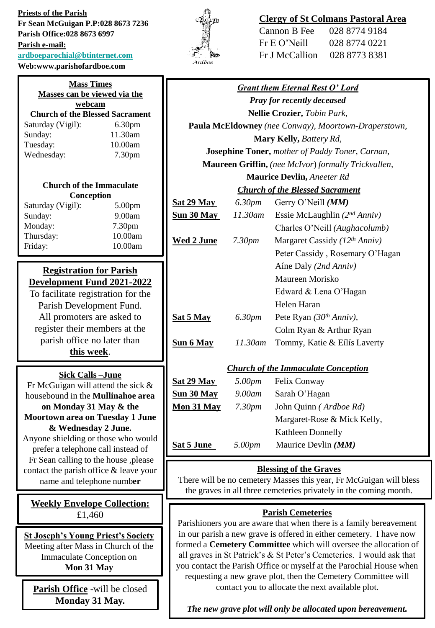**Priests of the Parish Fr Sean McGuigan P.P:028 8673 7236 Parish Office:028 8673 6997 Parish e-mail: [ardboeparochial@btinternet.com](mailto:ardboeparochial@btinternet.com) Web:www.parishofardboe.com**



# **Clergy of St Colmans Pastoral Area**

| Cannon B Fee   | 028 8774 9184 |
|----------------|---------------|
| Fr E O' Nei11  | 028 8774 0221 |
| Fr J McCallion | 028 8773 8381 |

| Masses can be viewed via the<br><b>Pray for recently deceased</b><br>webcam<br>Nellie Crozier, Tobin Park,<br><b>Church of the Blessed Sacrament</b><br>6.30pm<br>Paula McEldowney (nee Conway), Moortown-Draperstown,<br>11.30am<br>Sunday:<br>Mary Kelly, Battery Rd,<br>10.00am<br>Tuesday:<br><b>Josephine Toner, mother of Paddy Toner, Carnan,</b><br>Wednesday:<br>7.30pm<br>Maureen Griffin, (nee McIvor) formally Trickvallen,<br><b>Maurice Devlin, Aneeter Rd</b><br><b>Church of the Immaculate</b><br><b>Church of the Blessed Sacrament</b><br>Conception<br>6.30pm<br>Gerry O'Neill (MM)<br><b>Sat 29 May</b><br>5.00pm<br>11.30am<br>Essie McLaughlin $(2^{nd} Anniv)$<br>$S$ un 30 May<br>9.00am<br>Sunday:<br>Monday:<br>7.30pm<br>Charles O'Neill (Aughacolumb)<br>Thursday:<br>10.00am<br><b>Wed 2 June</b><br>Margaret Cassidy ( $12^{th}$ Anniv)<br>7.30 <sub>pm</sub><br>10.00am<br>Friday:<br>Peter Cassidy, Rosemary O'Hagan<br>Aíne Daly (2nd Anniv)<br><b>Registration for Parish</b><br>Maureen Morisko<br>Development Fund 2021-2022<br>Edward & Lena O'Hagan<br>To facilitate registration for the<br>Helen Haran<br>Parish Development Fund.<br>All promoters are asked to<br>Sat 5 May<br>Pete Ryan $(30th Anniv)$ ,<br>6.30pm<br>register their members at the<br>Colm Ryan & Arthur Ryan<br>parish office no later than<br>Sun 6 May<br>Tommy, Katie & Eílís Laverty<br>11.30am<br>this week.<br><b>Church of the Immaculate Conception</b><br><b>Sick Calls-June</b><br>Sat 29 May<br>5.00pm<br>Felix Conway<br>Fr McGuigan will attend the sick $\&$<br>Sun 30 May<br>9.00am<br>Sarah O'Hagan<br>housebound in the Mullinahoe area<br>Mon 31 May<br>John Quinn (Ardboe Rd)<br>on Monday 31 May & the<br>7.30 <sub>pm</sub><br><b>Moortown area on Tuesday 1 June</b><br>Margaret-Rose & Mick Kelly,<br>& Wednesday 2 June.<br><b>Kathleen Donnelly</b><br>Anyone shielding or those who would<br>5.00pm<br>Maurice Devlin (MM)<br><b>Sat 5 June</b><br>prefer a telephone call instead of<br>Fr Sean calling to the house ,please<br><b>Blessing of the Graves</b><br>contact the parish office & leave your<br>There will be no cemetery Masses this year, Fr McGuigan will bless<br>name and telephone number<br>the graves in all three cemeteries privately in the coming month.<br><b>Weekly Envelope Collection:</b><br><b>Parish Cemeteries</b><br>£1,460<br>Parishioners you are aware that when there is a family bereavement<br>in our parish a new grave is offered in either cemetery. I have now<br><b>St Joseph's Young Priest's Society</b><br>formed a Cemetery Committee which will oversee the allocation of<br>Meeting after Mass in Church of the<br>all graves in St Patrick's & St Peter's Cemeteries. I would ask that<br>Immaculate Conception on<br>you contact the Parish Office or myself at the Parochial House when<br>Mon 31 May<br>requesting a new grave plot, then the Cemetery Committee will | <b>Mass Times</b> |  |                                        |  |  |  |
|---------------------------------------------------------------------------------------------------------------------------------------------------------------------------------------------------------------------------------------------------------------------------------------------------------------------------------------------------------------------------------------------------------------------------------------------------------------------------------------------------------------------------------------------------------------------------------------------------------------------------------------------------------------------------------------------------------------------------------------------------------------------------------------------------------------------------------------------------------------------------------------------------------------------------------------------------------------------------------------------------------------------------------------------------------------------------------------------------------------------------------------------------------------------------------------------------------------------------------------------------------------------------------------------------------------------------------------------------------------------------------------------------------------------------------------------------------------------------------------------------------------------------------------------------------------------------------------------------------------------------------------------------------------------------------------------------------------------------------------------------------------------------------------------------------------------------------------------------------------------------------------------------------------------------------------------------------------------------------------------------------------------------------------------------------------------------------------------------------------------------------------------------------------------------------------------------------------------------------------------------------------------------------------------------------------------------------------------------------------------------------------------------------------------------------------------------------------------------------------------------------------------------------------------------------------------------------------------------------------------------------------------------------------------------------------------------------------------------------------------------------------------------------------------------------------------------------------------------------------------------------------------------------------------------------------------------------------------|-------------------|--|----------------------------------------|--|--|--|
|                                                                                                                                                                                                                                                                                                                                                                                                                                                                                                                                                                                                                                                                                                                                                                                                                                                                                                                                                                                                                                                                                                                                                                                                                                                                                                                                                                                                                                                                                                                                                                                                                                                                                                                                                                                                                                                                                                                                                                                                                                                                                                                                                                                                                                                                                                                                                                                                                                                                                                                                                                                                                                                                                                                                                                                                                                                                                                                                                                     |                   |  | <b>Grant them Eternal Rest O' Lord</b> |  |  |  |
|                                                                                                                                                                                                                                                                                                                                                                                                                                                                                                                                                                                                                                                                                                                                                                                                                                                                                                                                                                                                                                                                                                                                                                                                                                                                                                                                                                                                                                                                                                                                                                                                                                                                                                                                                                                                                                                                                                                                                                                                                                                                                                                                                                                                                                                                                                                                                                                                                                                                                                                                                                                                                                                                                                                                                                                                                                                                                                                                                                     |                   |  |                                        |  |  |  |
|                                                                                                                                                                                                                                                                                                                                                                                                                                                                                                                                                                                                                                                                                                                                                                                                                                                                                                                                                                                                                                                                                                                                                                                                                                                                                                                                                                                                                                                                                                                                                                                                                                                                                                                                                                                                                                                                                                                                                                                                                                                                                                                                                                                                                                                                                                                                                                                                                                                                                                                                                                                                                                                                                                                                                                                                                                                                                                                                                                     |                   |  |                                        |  |  |  |
|                                                                                                                                                                                                                                                                                                                                                                                                                                                                                                                                                                                                                                                                                                                                                                                                                                                                                                                                                                                                                                                                                                                                                                                                                                                                                                                                                                                                                                                                                                                                                                                                                                                                                                                                                                                                                                                                                                                                                                                                                                                                                                                                                                                                                                                                                                                                                                                                                                                                                                                                                                                                                                                                                                                                                                                                                                                                                                                                                                     | Saturday (Vigil): |  |                                        |  |  |  |
|                                                                                                                                                                                                                                                                                                                                                                                                                                                                                                                                                                                                                                                                                                                                                                                                                                                                                                                                                                                                                                                                                                                                                                                                                                                                                                                                                                                                                                                                                                                                                                                                                                                                                                                                                                                                                                                                                                                                                                                                                                                                                                                                                                                                                                                                                                                                                                                                                                                                                                                                                                                                                                                                                                                                                                                                                                                                                                                                                                     |                   |  |                                        |  |  |  |
|                                                                                                                                                                                                                                                                                                                                                                                                                                                                                                                                                                                                                                                                                                                                                                                                                                                                                                                                                                                                                                                                                                                                                                                                                                                                                                                                                                                                                                                                                                                                                                                                                                                                                                                                                                                                                                                                                                                                                                                                                                                                                                                                                                                                                                                                                                                                                                                                                                                                                                                                                                                                                                                                                                                                                                                                                                                                                                                                                                     |                   |  |                                        |  |  |  |
|                                                                                                                                                                                                                                                                                                                                                                                                                                                                                                                                                                                                                                                                                                                                                                                                                                                                                                                                                                                                                                                                                                                                                                                                                                                                                                                                                                                                                                                                                                                                                                                                                                                                                                                                                                                                                                                                                                                                                                                                                                                                                                                                                                                                                                                                                                                                                                                                                                                                                                                                                                                                                                                                                                                                                                                                                                                                                                                                                                     |                   |  |                                        |  |  |  |
|                                                                                                                                                                                                                                                                                                                                                                                                                                                                                                                                                                                                                                                                                                                                                                                                                                                                                                                                                                                                                                                                                                                                                                                                                                                                                                                                                                                                                                                                                                                                                                                                                                                                                                                                                                                                                                                                                                                                                                                                                                                                                                                                                                                                                                                                                                                                                                                                                                                                                                                                                                                                                                                                                                                                                                                                                                                                                                                                                                     |                   |  |                                        |  |  |  |
|                                                                                                                                                                                                                                                                                                                                                                                                                                                                                                                                                                                                                                                                                                                                                                                                                                                                                                                                                                                                                                                                                                                                                                                                                                                                                                                                                                                                                                                                                                                                                                                                                                                                                                                                                                                                                                                                                                                                                                                                                                                                                                                                                                                                                                                                                                                                                                                                                                                                                                                                                                                                                                                                                                                                                                                                                                                                                                                                                                     |                   |  |                                        |  |  |  |
|                                                                                                                                                                                                                                                                                                                                                                                                                                                                                                                                                                                                                                                                                                                                                                                                                                                                                                                                                                                                                                                                                                                                                                                                                                                                                                                                                                                                                                                                                                                                                                                                                                                                                                                                                                                                                                                                                                                                                                                                                                                                                                                                                                                                                                                                                                                                                                                                                                                                                                                                                                                                                                                                                                                                                                                                                                                                                                                                                                     |                   |  |                                        |  |  |  |
|                                                                                                                                                                                                                                                                                                                                                                                                                                                                                                                                                                                                                                                                                                                                                                                                                                                                                                                                                                                                                                                                                                                                                                                                                                                                                                                                                                                                                                                                                                                                                                                                                                                                                                                                                                                                                                                                                                                                                                                                                                                                                                                                                                                                                                                                                                                                                                                                                                                                                                                                                                                                                                                                                                                                                                                                                                                                                                                                                                     | Saturday (Vigil): |  |                                        |  |  |  |
|                                                                                                                                                                                                                                                                                                                                                                                                                                                                                                                                                                                                                                                                                                                                                                                                                                                                                                                                                                                                                                                                                                                                                                                                                                                                                                                                                                                                                                                                                                                                                                                                                                                                                                                                                                                                                                                                                                                                                                                                                                                                                                                                                                                                                                                                                                                                                                                                                                                                                                                                                                                                                                                                                                                                                                                                                                                                                                                                                                     |                   |  |                                        |  |  |  |
|                                                                                                                                                                                                                                                                                                                                                                                                                                                                                                                                                                                                                                                                                                                                                                                                                                                                                                                                                                                                                                                                                                                                                                                                                                                                                                                                                                                                                                                                                                                                                                                                                                                                                                                                                                                                                                                                                                                                                                                                                                                                                                                                                                                                                                                                                                                                                                                                                                                                                                                                                                                                                                                                                                                                                                                                                                                                                                                                                                     |                   |  |                                        |  |  |  |
|                                                                                                                                                                                                                                                                                                                                                                                                                                                                                                                                                                                                                                                                                                                                                                                                                                                                                                                                                                                                                                                                                                                                                                                                                                                                                                                                                                                                                                                                                                                                                                                                                                                                                                                                                                                                                                                                                                                                                                                                                                                                                                                                                                                                                                                                                                                                                                                                                                                                                                                                                                                                                                                                                                                                                                                                                                                                                                                                                                     |                   |  |                                        |  |  |  |
|                                                                                                                                                                                                                                                                                                                                                                                                                                                                                                                                                                                                                                                                                                                                                                                                                                                                                                                                                                                                                                                                                                                                                                                                                                                                                                                                                                                                                                                                                                                                                                                                                                                                                                                                                                                                                                                                                                                                                                                                                                                                                                                                                                                                                                                                                                                                                                                                                                                                                                                                                                                                                                                                                                                                                                                                                                                                                                                                                                     |                   |  |                                        |  |  |  |
|                                                                                                                                                                                                                                                                                                                                                                                                                                                                                                                                                                                                                                                                                                                                                                                                                                                                                                                                                                                                                                                                                                                                                                                                                                                                                                                                                                                                                                                                                                                                                                                                                                                                                                                                                                                                                                                                                                                                                                                                                                                                                                                                                                                                                                                                                                                                                                                                                                                                                                                                                                                                                                                                                                                                                                                                                                                                                                                                                                     |                   |  |                                        |  |  |  |
|                                                                                                                                                                                                                                                                                                                                                                                                                                                                                                                                                                                                                                                                                                                                                                                                                                                                                                                                                                                                                                                                                                                                                                                                                                                                                                                                                                                                                                                                                                                                                                                                                                                                                                                                                                                                                                                                                                                                                                                                                                                                                                                                                                                                                                                                                                                                                                                                                                                                                                                                                                                                                                                                                                                                                                                                                                                                                                                                                                     |                   |  |                                        |  |  |  |
|                                                                                                                                                                                                                                                                                                                                                                                                                                                                                                                                                                                                                                                                                                                                                                                                                                                                                                                                                                                                                                                                                                                                                                                                                                                                                                                                                                                                                                                                                                                                                                                                                                                                                                                                                                                                                                                                                                                                                                                                                                                                                                                                                                                                                                                                                                                                                                                                                                                                                                                                                                                                                                                                                                                                                                                                                                                                                                                                                                     |                   |  |                                        |  |  |  |
|                                                                                                                                                                                                                                                                                                                                                                                                                                                                                                                                                                                                                                                                                                                                                                                                                                                                                                                                                                                                                                                                                                                                                                                                                                                                                                                                                                                                                                                                                                                                                                                                                                                                                                                                                                                                                                                                                                                                                                                                                                                                                                                                                                                                                                                                                                                                                                                                                                                                                                                                                                                                                                                                                                                                                                                                                                                                                                                                                                     |                   |  |                                        |  |  |  |
|                                                                                                                                                                                                                                                                                                                                                                                                                                                                                                                                                                                                                                                                                                                                                                                                                                                                                                                                                                                                                                                                                                                                                                                                                                                                                                                                                                                                                                                                                                                                                                                                                                                                                                                                                                                                                                                                                                                                                                                                                                                                                                                                                                                                                                                                                                                                                                                                                                                                                                                                                                                                                                                                                                                                                                                                                                                                                                                                                                     |                   |  |                                        |  |  |  |
|                                                                                                                                                                                                                                                                                                                                                                                                                                                                                                                                                                                                                                                                                                                                                                                                                                                                                                                                                                                                                                                                                                                                                                                                                                                                                                                                                                                                                                                                                                                                                                                                                                                                                                                                                                                                                                                                                                                                                                                                                                                                                                                                                                                                                                                                                                                                                                                                                                                                                                                                                                                                                                                                                                                                                                                                                                                                                                                                                                     |                   |  |                                        |  |  |  |
|                                                                                                                                                                                                                                                                                                                                                                                                                                                                                                                                                                                                                                                                                                                                                                                                                                                                                                                                                                                                                                                                                                                                                                                                                                                                                                                                                                                                                                                                                                                                                                                                                                                                                                                                                                                                                                                                                                                                                                                                                                                                                                                                                                                                                                                                                                                                                                                                                                                                                                                                                                                                                                                                                                                                                                                                                                                                                                                                                                     |                   |  |                                        |  |  |  |
|                                                                                                                                                                                                                                                                                                                                                                                                                                                                                                                                                                                                                                                                                                                                                                                                                                                                                                                                                                                                                                                                                                                                                                                                                                                                                                                                                                                                                                                                                                                                                                                                                                                                                                                                                                                                                                                                                                                                                                                                                                                                                                                                                                                                                                                                                                                                                                                                                                                                                                                                                                                                                                                                                                                                                                                                                                                                                                                                                                     |                   |  |                                        |  |  |  |
|                                                                                                                                                                                                                                                                                                                                                                                                                                                                                                                                                                                                                                                                                                                                                                                                                                                                                                                                                                                                                                                                                                                                                                                                                                                                                                                                                                                                                                                                                                                                                                                                                                                                                                                                                                                                                                                                                                                                                                                                                                                                                                                                                                                                                                                                                                                                                                                                                                                                                                                                                                                                                                                                                                                                                                                                                                                                                                                                                                     |                   |  |                                        |  |  |  |
|                                                                                                                                                                                                                                                                                                                                                                                                                                                                                                                                                                                                                                                                                                                                                                                                                                                                                                                                                                                                                                                                                                                                                                                                                                                                                                                                                                                                                                                                                                                                                                                                                                                                                                                                                                                                                                                                                                                                                                                                                                                                                                                                                                                                                                                                                                                                                                                                                                                                                                                                                                                                                                                                                                                                                                                                                                                                                                                                                                     |                   |  |                                        |  |  |  |
|                                                                                                                                                                                                                                                                                                                                                                                                                                                                                                                                                                                                                                                                                                                                                                                                                                                                                                                                                                                                                                                                                                                                                                                                                                                                                                                                                                                                                                                                                                                                                                                                                                                                                                                                                                                                                                                                                                                                                                                                                                                                                                                                                                                                                                                                                                                                                                                                                                                                                                                                                                                                                                                                                                                                                                                                                                                                                                                                                                     |                   |  |                                        |  |  |  |
|                                                                                                                                                                                                                                                                                                                                                                                                                                                                                                                                                                                                                                                                                                                                                                                                                                                                                                                                                                                                                                                                                                                                                                                                                                                                                                                                                                                                                                                                                                                                                                                                                                                                                                                                                                                                                                                                                                                                                                                                                                                                                                                                                                                                                                                                                                                                                                                                                                                                                                                                                                                                                                                                                                                                                                                                                                                                                                                                                                     |                   |  |                                        |  |  |  |
|                                                                                                                                                                                                                                                                                                                                                                                                                                                                                                                                                                                                                                                                                                                                                                                                                                                                                                                                                                                                                                                                                                                                                                                                                                                                                                                                                                                                                                                                                                                                                                                                                                                                                                                                                                                                                                                                                                                                                                                                                                                                                                                                                                                                                                                                                                                                                                                                                                                                                                                                                                                                                                                                                                                                                                                                                                                                                                                                                                     |                   |  |                                        |  |  |  |
|                                                                                                                                                                                                                                                                                                                                                                                                                                                                                                                                                                                                                                                                                                                                                                                                                                                                                                                                                                                                                                                                                                                                                                                                                                                                                                                                                                                                                                                                                                                                                                                                                                                                                                                                                                                                                                                                                                                                                                                                                                                                                                                                                                                                                                                                                                                                                                                                                                                                                                                                                                                                                                                                                                                                                                                                                                                                                                                                                                     |                   |  |                                        |  |  |  |
|                                                                                                                                                                                                                                                                                                                                                                                                                                                                                                                                                                                                                                                                                                                                                                                                                                                                                                                                                                                                                                                                                                                                                                                                                                                                                                                                                                                                                                                                                                                                                                                                                                                                                                                                                                                                                                                                                                                                                                                                                                                                                                                                                                                                                                                                                                                                                                                                                                                                                                                                                                                                                                                                                                                                                                                                                                                                                                                                                                     |                   |  |                                        |  |  |  |
|                                                                                                                                                                                                                                                                                                                                                                                                                                                                                                                                                                                                                                                                                                                                                                                                                                                                                                                                                                                                                                                                                                                                                                                                                                                                                                                                                                                                                                                                                                                                                                                                                                                                                                                                                                                                                                                                                                                                                                                                                                                                                                                                                                                                                                                                                                                                                                                                                                                                                                                                                                                                                                                                                                                                                                                                                                                                                                                                                                     |                   |  |                                        |  |  |  |
|                                                                                                                                                                                                                                                                                                                                                                                                                                                                                                                                                                                                                                                                                                                                                                                                                                                                                                                                                                                                                                                                                                                                                                                                                                                                                                                                                                                                                                                                                                                                                                                                                                                                                                                                                                                                                                                                                                                                                                                                                                                                                                                                                                                                                                                                                                                                                                                                                                                                                                                                                                                                                                                                                                                                                                                                                                                                                                                                                                     |                   |  |                                        |  |  |  |
|                                                                                                                                                                                                                                                                                                                                                                                                                                                                                                                                                                                                                                                                                                                                                                                                                                                                                                                                                                                                                                                                                                                                                                                                                                                                                                                                                                                                                                                                                                                                                                                                                                                                                                                                                                                                                                                                                                                                                                                                                                                                                                                                                                                                                                                                                                                                                                                                                                                                                                                                                                                                                                                                                                                                                                                                                                                                                                                                                                     |                   |  |                                        |  |  |  |
|                                                                                                                                                                                                                                                                                                                                                                                                                                                                                                                                                                                                                                                                                                                                                                                                                                                                                                                                                                                                                                                                                                                                                                                                                                                                                                                                                                                                                                                                                                                                                                                                                                                                                                                                                                                                                                                                                                                                                                                                                                                                                                                                                                                                                                                                                                                                                                                                                                                                                                                                                                                                                                                                                                                                                                                                                                                                                                                                                                     |                   |  |                                        |  |  |  |
|                                                                                                                                                                                                                                                                                                                                                                                                                                                                                                                                                                                                                                                                                                                                                                                                                                                                                                                                                                                                                                                                                                                                                                                                                                                                                                                                                                                                                                                                                                                                                                                                                                                                                                                                                                                                                                                                                                                                                                                                                                                                                                                                                                                                                                                                                                                                                                                                                                                                                                                                                                                                                                                                                                                                                                                                                                                                                                                                                                     |                   |  |                                        |  |  |  |
|                                                                                                                                                                                                                                                                                                                                                                                                                                                                                                                                                                                                                                                                                                                                                                                                                                                                                                                                                                                                                                                                                                                                                                                                                                                                                                                                                                                                                                                                                                                                                                                                                                                                                                                                                                                                                                                                                                                                                                                                                                                                                                                                                                                                                                                                                                                                                                                                                                                                                                                                                                                                                                                                                                                                                                                                                                                                                                                                                                     |                   |  |                                        |  |  |  |
|                                                                                                                                                                                                                                                                                                                                                                                                                                                                                                                                                                                                                                                                                                                                                                                                                                                                                                                                                                                                                                                                                                                                                                                                                                                                                                                                                                                                                                                                                                                                                                                                                                                                                                                                                                                                                                                                                                                                                                                                                                                                                                                                                                                                                                                                                                                                                                                                                                                                                                                                                                                                                                                                                                                                                                                                                                                                                                                                                                     |                   |  |                                        |  |  |  |
|                                                                                                                                                                                                                                                                                                                                                                                                                                                                                                                                                                                                                                                                                                                                                                                                                                                                                                                                                                                                                                                                                                                                                                                                                                                                                                                                                                                                                                                                                                                                                                                                                                                                                                                                                                                                                                                                                                                                                                                                                                                                                                                                                                                                                                                                                                                                                                                                                                                                                                                                                                                                                                                                                                                                                                                                                                                                                                                                                                     |                   |  |                                        |  |  |  |
|                                                                                                                                                                                                                                                                                                                                                                                                                                                                                                                                                                                                                                                                                                                                                                                                                                                                                                                                                                                                                                                                                                                                                                                                                                                                                                                                                                                                                                                                                                                                                                                                                                                                                                                                                                                                                                                                                                                                                                                                                                                                                                                                                                                                                                                                                                                                                                                                                                                                                                                                                                                                                                                                                                                                                                                                                                                                                                                                                                     |                   |  |                                        |  |  |  |
|                                                                                                                                                                                                                                                                                                                                                                                                                                                                                                                                                                                                                                                                                                                                                                                                                                                                                                                                                                                                                                                                                                                                                                                                                                                                                                                                                                                                                                                                                                                                                                                                                                                                                                                                                                                                                                                                                                                                                                                                                                                                                                                                                                                                                                                                                                                                                                                                                                                                                                                                                                                                                                                                                                                                                                                                                                                                                                                                                                     |                   |  |                                        |  |  |  |
|                                                                                                                                                                                                                                                                                                                                                                                                                                                                                                                                                                                                                                                                                                                                                                                                                                                                                                                                                                                                                                                                                                                                                                                                                                                                                                                                                                                                                                                                                                                                                                                                                                                                                                                                                                                                                                                                                                                                                                                                                                                                                                                                                                                                                                                                                                                                                                                                                                                                                                                                                                                                                                                                                                                                                                                                                                                                                                                                                                     |                   |  |                                        |  |  |  |
|                                                                                                                                                                                                                                                                                                                                                                                                                                                                                                                                                                                                                                                                                                                                                                                                                                                                                                                                                                                                                                                                                                                                                                                                                                                                                                                                                                                                                                                                                                                                                                                                                                                                                                                                                                                                                                                                                                                                                                                                                                                                                                                                                                                                                                                                                                                                                                                                                                                                                                                                                                                                                                                                                                                                                                                                                                                                                                                                                                     |                   |  |                                        |  |  |  |

contact you to allocate the next available plot.

*The new grave plot will only be allocated upon bereavement.*

| <b>Church of the Immaculate</b><br>Conception                       |                    |  |  |
|---------------------------------------------------------------------|--------------------|--|--|
| Saturday (Vigil):                                                   | 5.00 <sub>pm</sub> |  |  |
| Sunday:                                                             | 9.00am             |  |  |
| Monday:                                                             | 7.30 <sub>pm</sub> |  |  |
| Thursday:                                                           | 10.00am            |  |  |
| Friday:                                                             | 10.00am            |  |  |
| <b>Registration for Parish</b><br><b>Development Fund 2021-2022</b> |                    |  |  |

# To facilitate registration fo Parish Development Fu All promoters are asked register their members a parish office no later th **this week**.

# **Sick Calls –June**

**Parish Office** -will be closed **Monday 31 May.**